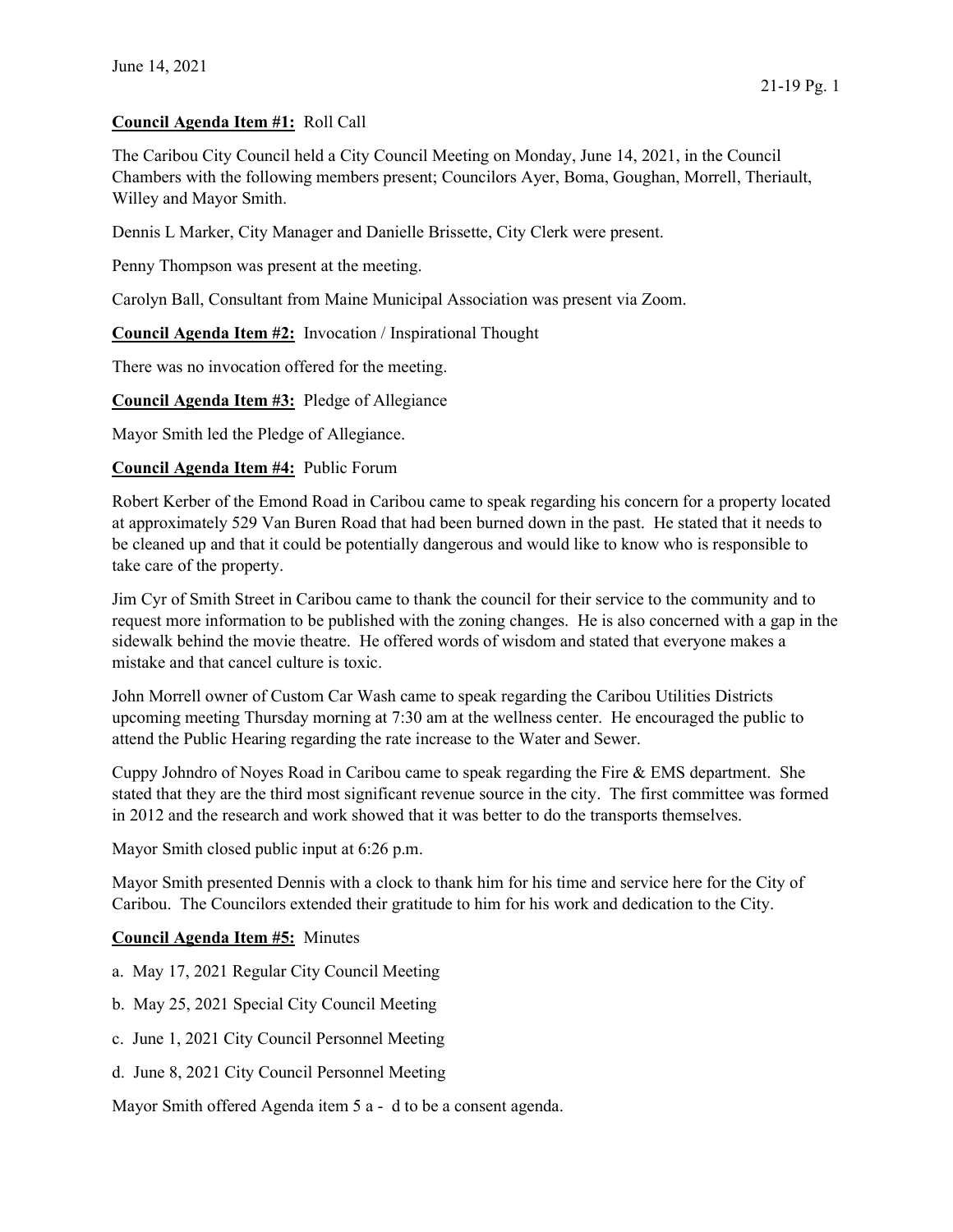## Council Agenda Item #1: Roll Call

The Caribou City Council held a City Council Meeting on Monday, June 14, 2021, in the Council Chambers with the following members present; Councilors Ayer, Boma, Goughan, Morrell, Theriault, Willey and Mayor Smith.

Dennis L Marker, City Manager and Danielle Brissette, City Clerk were present.

Penny Thompson was present at the meeting.

Carolyn Ball, Consultant from Maine Municipal Association was present via Zoom.

Council Agenda Item #2: Invocation / Inspirational Thought

There was no invocation offered for the meeting.

Council Agenda Item #3: Pledge of Allegiance

Mayor Smith led the Pledge of Allegiance.

Council Agenda Item #4: Public Forum

Robert Kerber of the Emond Road in Caribou came to speak regarding his concern for a property located at approximately 529 Van Buren Road that had been burned down in the past. He stated that it needs to be cleaned up and that it could be potentially dangerous and would like to know who is responsible to take care of the property.

Jim Cyr of Smith Street in Caribou came to thank the council for their service to the community and to request more information to be published with the zoning changes. He is also concerned with a gap in the sidewalk behind the movie theatre. He offered words of wisdom and stated that everyone makes a mistake and that cancel culture is toxic.

John Morrell owner of Custom Car Wash came to speak regarding the Caribou Utilities Districts upcoming meeting Thursday morning at 7:30 am at the wellness center. He encouraged the public to attend the Public Hearing regarding the rate increase to the Water and Sewer.

Cuppy Johndro of Noyes Road in Caribou came to speak regarding the Fire & EMS department. She stated that they are the third most significant revenue source in the city. The first committee was formed in 2012 and the research and work showed that it was better to do the transports themselves.

Mayor Smith closed public input at 6:26 p.m.

Mayor Smith presented Dennis with a clock to thank him for his time and service here for the City of Caribou. The Councilors extended their gratitude to him for his work and dedication to the City.

## Council Agenda Item #5: Minutes

- a. May 17, 2021 Regular City Council Meeting
- b. May 25, 2021 Special City Council Meeting
- c. June 1, 2021 City Council Personnel Meeting
- d. June 8, 2021 City Council Personnel Meeting

Mayor Smith offered Agenda item 5 a - d to be a consent agenda.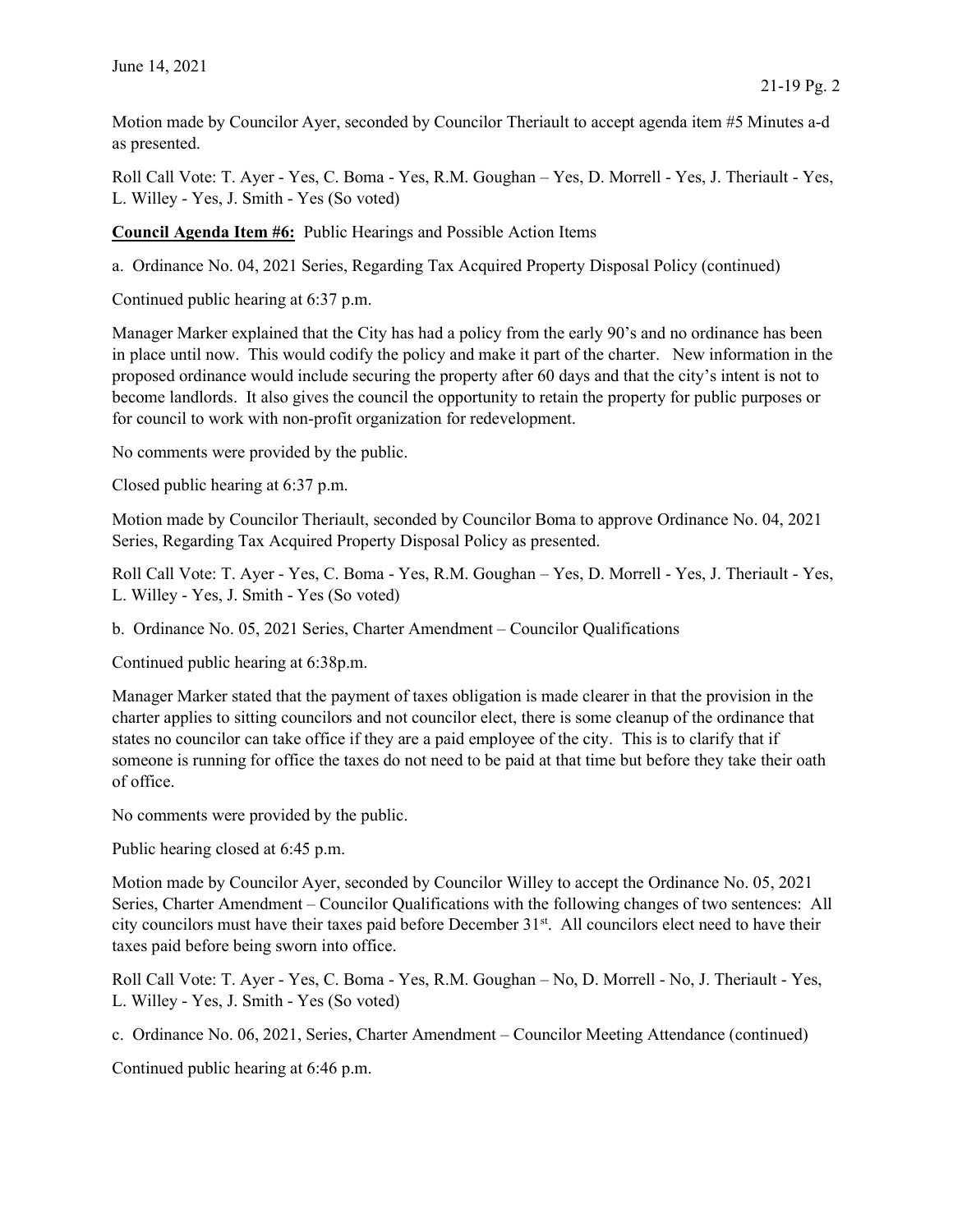Motion made by Councilor Ayer, seconded by Councilor Theriault to accept agenda item #5 Minutes a-d as presented.

Roll Call Vote: T. Ayer - Yes, C. Boma - Yes, R.M. Goughan – Yes, D. Morrell - Yes, J. Theriault - Yes, L. Willey - Yes, J. Smith - Yes (So voted)

Council Agenda Item #6: Public Hearings and Possible Action Items

a. Ordinance No. 04, 2021 Series, Regarding Tax Acquired Property Disposal Policy (continued)

Continued public hearing at 6:37 p.m.

Manager Marker explained that the City has had a policy from the early 90's and no ordinance has been in place until now. This would codify the policy and make it part of the charter. New information in the proposed ordinance would include securing the property after 60 days and that the city's intent is not to become landlords. It also gives the council the opportunity to retain the property for public purposes or for council to work with non-profit organization for redevelopment.

No comments were provided by the public.

Closed public hearing at 6:37 p.m.

Motion made by Councilor Theriault, seconded by Councilor Boma to approve Ordinance No. 04, 2021 Series, Regarding Tax Acquired Property Disposal Policy as presented.

Roll Call Vote: T. Ayer - Yes, C. Boma - Yes, R.M. Goughan – Yes, D. Morrell - Yes, J. Theriault - Yes, L. Willey - Yes, J. Smith - Yes (So voted)

b. Ordinance No. 05, 2021 Series, Charter Amendment – Councilor Qualifications

Continued public hearing at 6:38p.m.

Manager Marker stated that the payment of taxes obligation is made clearer in that the provision in the charter applies to sitting councilors and not councilor elect, there is some cleanup of the ordinance that states no councilor can take office if they are a paid employee of the city. This is to clarify that if someone is running for office the taxes do not need to be paid at that time but before they take their oath of office.

No comments were provided by the public.

Public hearing closed at 6:45 p.m.

Motion made by Councilor Ayer, seconded by Councilor Willey to accept the Ordinance No. 05, 2021 Series, Charter Amendment – Councilor Qualifications with the following changes of two sentences: All city councilors must have their taxes paid before December 31st. All councilors elect need to have their taxes paid before being sworn into office.

Roll Call Vote: T. Ayer - Yes, C. Boma - Yes, R.M. Goughan – No, D. Morrell - No, J. Theriault - Yes, L. Willey - Yes, J. Smith - Yes (So voted)

c. Ordinance No. 06, 2021, Series, Charter Amendment – Councilor Meeting Attendance (continued)

Continued public hearing at 6:46 p.m.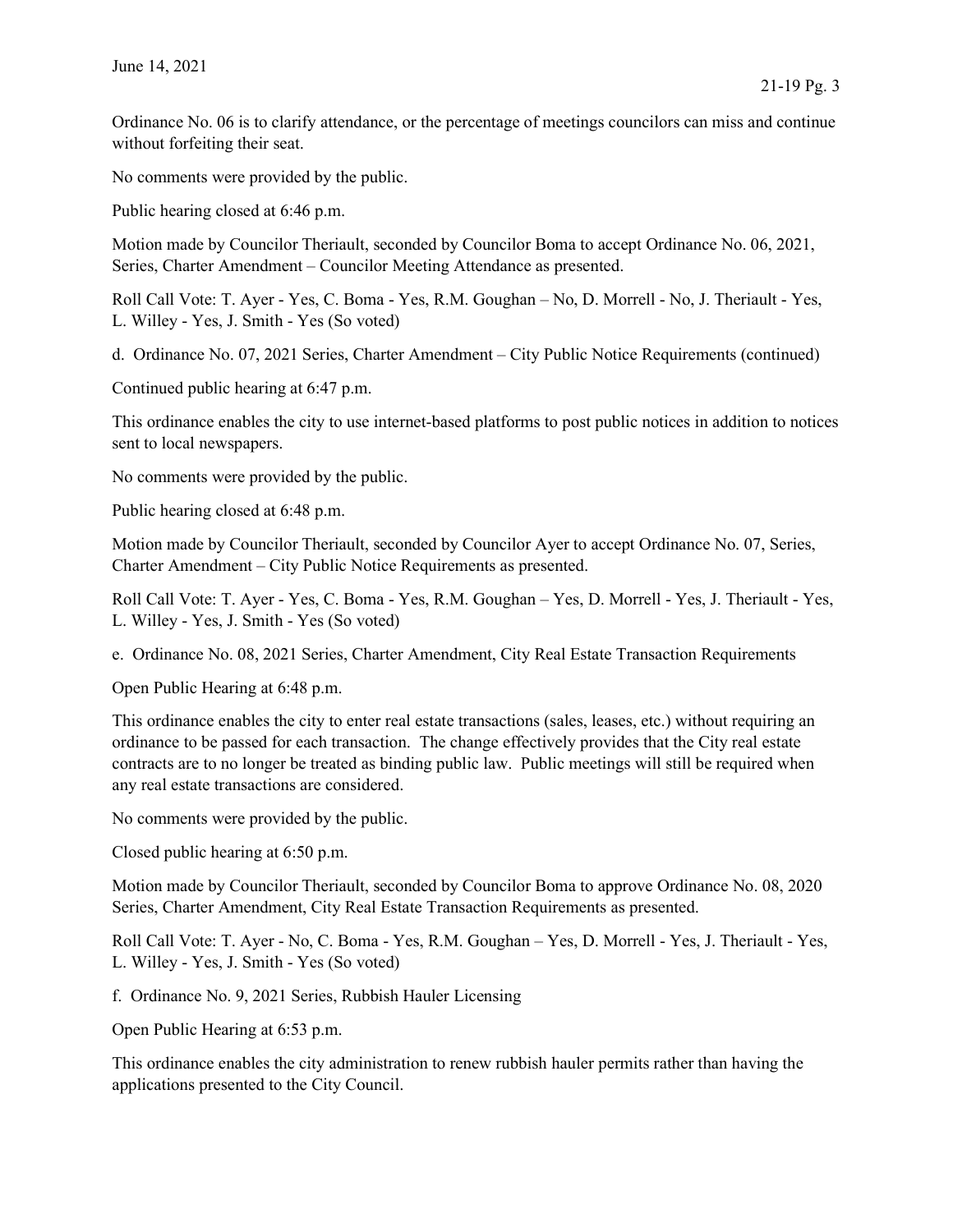Ordinance No. 06 is to clarify attendance, or the percentage of meetings councilors can miss and continue without forfeiting their seat.

No comments were provided by the public.

Public hearing closed at 6:46 p.m.

Motion made by Councilor Theriault, seconded by Councilor Boma to accept Ordinance No. 06, 2021, Series, Charter Amendment – Councilor Meeting Attendance as presented.

Roll Call Vote: T. Ayer - Yes, C. Boma - Yes, R.M. Goughan – No, D. Morrell - No, J. Theriault - Yes, L. Willey - Yes, J. Smith - Yes (So voted)

d. Ordinance No. 07, 2021 Series, Charter Amendment – City Public Notice Requirements (continued)

Continued public hearing at 6:47 p.m.

This ordinance enables the city to use internet-based platforms to post public notices in addition to notices sent to local newspapers.

No comments were provided by the public.

Public hearing closed at 6:48 p.m.

Motion made by Councilor Theriault, seconded by Councilor Ayer to accept Ordinance No. 07, Series, Charter Amendment – City Public Notice Requirements as presented.

Roll Call Vote: T. Ayer - Yes, C. Boma - Yes, R.M. Goughan – Yes, D. Morrell - Yes, J. Theriault - Yes, L. Willey - Yes, J. Smith - Yes (So voted)

e. Ordinance No. 08, 2021 Series, Charter Amendment, City Real Estate Transaction Requirements

Open Public Hearing at 6:48 p.m.

This ordinance enables the city to enter real estate transactions (sales, leases, etc.) without requiring an ordinance to be passed for each transaction. The change effectively provides that the City real estate contracts are to no longer be treated as binding public law. Public meetings will still be required when any real estate transactions are considered.

No comments were provided by the public.

Closed public hearing at 6:50 p.m.

Motion made by Councilor Theriault, seconded by Councilor Boma to approve Ordinance No. 08, 2020 Series, Charter Amendment, City Real Estate Transaction Requirements as presented.

Roll Call Vote: T. Ayer - No, C. Boma - Yes, R.M. Goughan – Yes, D. Morrell - Yes, J. Theriault - Yes, L. Willey - Yes, J. Smith - Yes (So voted)

f. Ordinance No. 9, 2021 Series, Rubbish Hauler Licensing

Open Public Hearing at 6:53 p.m.

This ordinance enables the city administration to renew rubbish hauler permits rather than having the applications presented to the City Council.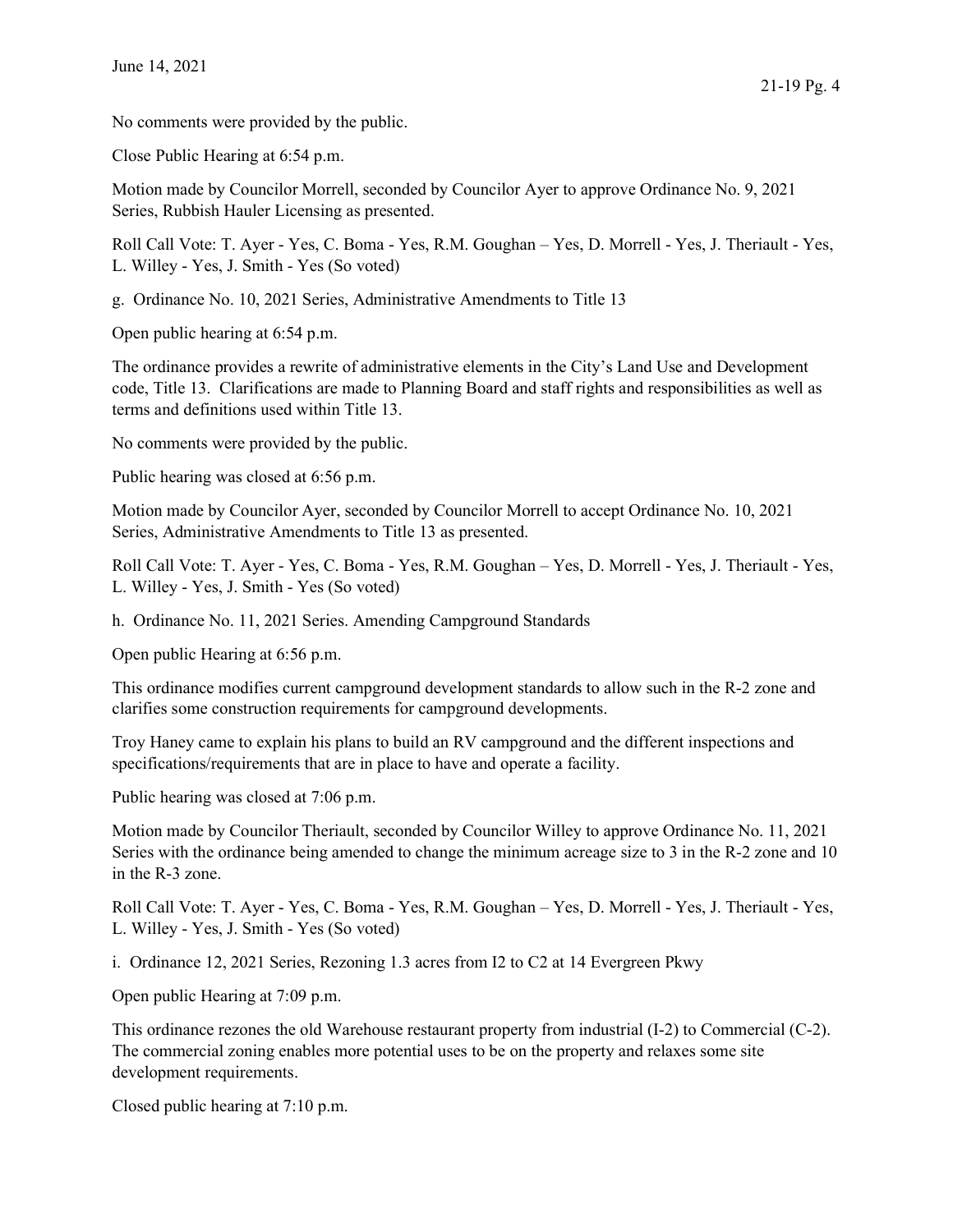No comments were provided by the public.

Close Public Hearing at 6:54 p.m.

Motion made by Councilor Morrell, seconded by Councilor Ayer to approve Ordinance No. 9, 2021 Series, Rubbish Hauler Licensing as presented.

Roll Call Vote: T. Ayer - Yes, C. Boma - Yes, R.M. Goughan – Yes, D. Morrell - Yes, J. Theriault - Yes, L. Willey - Yes, J. Smith - Yes (So voted)

g. Ordinance No. 10, 2021 Series, Administrative Amendments to Title 13

Open public hearing at 6:54 p.m.

The ordinance provides a rewrite of administrative elements in the City's Land Use and Development code, Title 13. Clarifications are made to Planning Board and staff rights and responsibilities as well as terms and definitions used within Title 13.

No comments were provided by the public.

Public hearing was closed at 6:56 p.m.

Motion made by Councilor Ayer, seconded by Councilor Morrell to accept Ordinance No. 10, 2021 Series, Administrative Amendments to Title 13 as presented.

Roll Call Vote: T. Ayer - Yes, C. Boma - Yes, R.M. Goughan – Yes, D. Morrell - Yes, J. Theriault - Yes, L. Willey - Yes, J. Smith - Yes (So voted)

h. Ordinance No. 11, 2021 Series. Amending Campground Standards

Open public Hearing at 6:56 p.m.

This ordinance modifies current campground development standards to allow such in the R-2 zone and clarifies some construction requirements for campground developments.

Troy Haney came to explain his plans to build an RV campground and the different inspections and specifications/requirements that are in place to have and operate a facility.

Public hearing was closed at 7:06 p.m.

Motion made by Councilor Theriault, seconded by Councilor Willey to approve Ordinance No. 11, 2021 Series with the ordinance being amended to change the minimum acreage size to 3 in the R-2 zone and 10 in the R-3 zone.

Roll Call Vote: T. Ayer - Yes, C. Boma - Yes, R.M. Goughan – Yes, D. Morrell - Yes, J. Theriault - Yes, L. Willey - Yes, J. Smith - Yes (So voted)

i. Ordinance 12, 2021 Series, Rezoning 1.3 acres from I2 to C2 at 14 Evergreen Pkwy

Open public Hearing at 7:09 p.m.

This ordinance rezones the old Warehouse restaurant property from industrial (I-2) to Commercial (C-2). The commercial zoning enables more potential uses to be on the property and relaxes some site development requirements.

Closed public hearing at 7:10 p.m.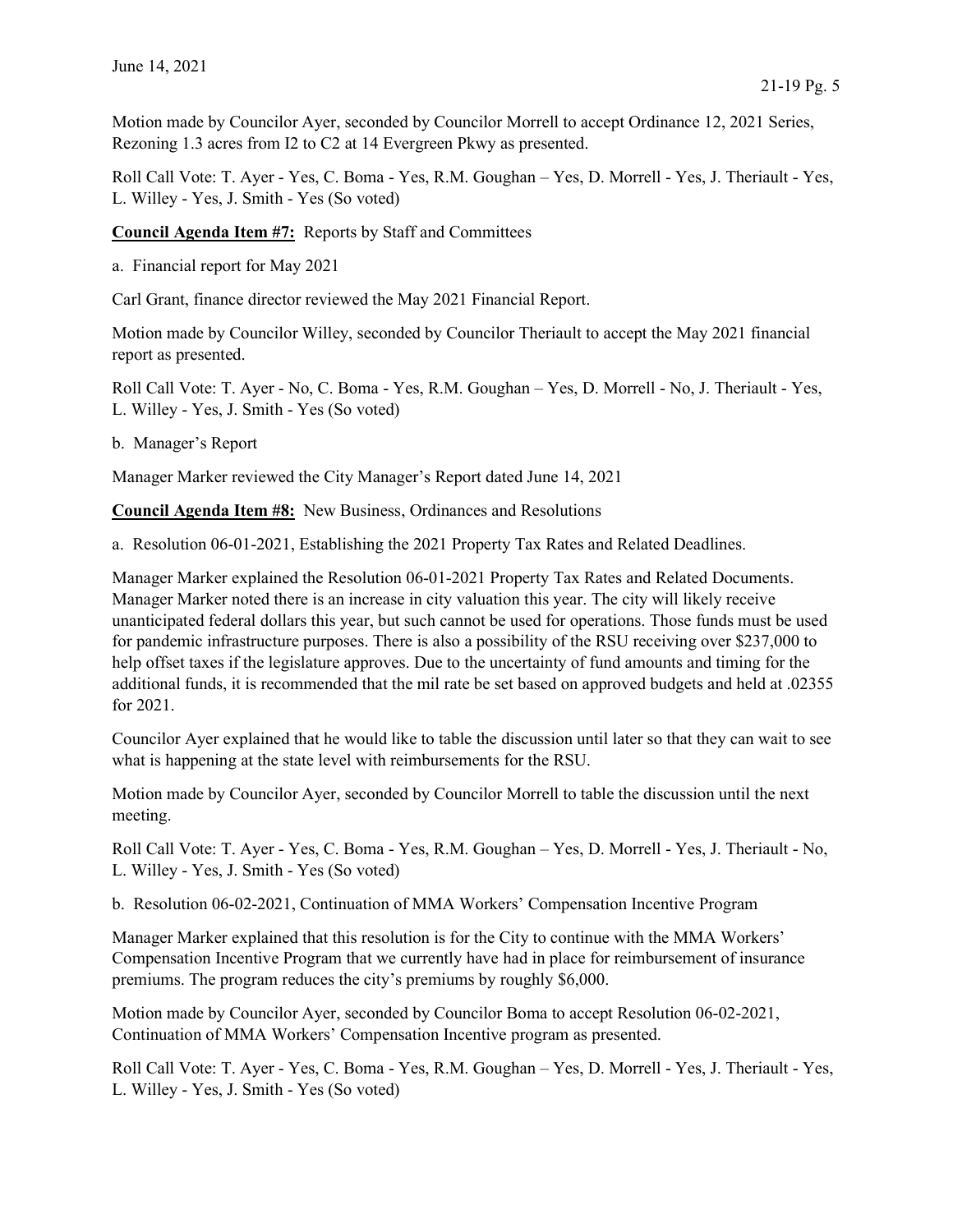Motion made by Councilor Ayer, seconded by Councilor Morrell to accept Ordinance 12, 2021 Series, Rezoning 1.3 acres from I2 to C2 at 14 Evergreen Pkwy as presented.

Roll Call Vote: T. Ayer - Yes, C. Boma - Yes, R.M. Goughan – Yes, D. Morrell - Yes, J. Theriault - Yes, L. Willey - Yes, J. Smith - Yes (So voted)

Council Agenda Item #7: Reports by Staff and Committees

a. Financial report for May 2021

Carl Grant, finance director reviewed the May 2021 Financial Report.

Motion made by Councilor Willey, seconded by Councilor Theriault to accept the May 2021 financial report as presented.

Roll Call Vote: T. Ayer - No, C. Boma - Yes, R.M. Goughan – Yes, D. Morrell - No, J. Theriault - Yes, L. Willey - Yes, J. Smith - Yes (So voted)

b. Manager's Report

Manager Marker reviewed the City Manager's Report dated June 14, 2021

Council Agenda Item #8: New Business, Ordinances and Resolutions

a. Resolution 06-01-2021, Establishing the 2021 Property Tax Rates and Related Deadlines.

Manager Marker explained the Resolution 06-01-2021 Property Tax Rates and Related Documents. Manager Marker noted there is an increase in city valuation this year. The city will likely receive unanticipated federal dollars this year, but such cannot be used for operations. Those funds must be used for pandemic infrastructure purposes. There is also a possibility of the RSU receiving over \$237,000 to help offset taxes if the legislature approves. Due to the uncertainty of fund amounts and timing for the additional funds, it is recommended that the mil rate be set based on approved budgets and held at .02355 for 2021.

Councilor Ayer explained that he would like to table the discussion until later so that they can wait to see what is happening at the state level with reimbursements for the RSU.

Motion made by Councilor Ayer, seconded by Councilor Morrell to table the discussion until the next meeting.

Roll Call Vote: T. Ayer - Yes, C. Boma - Yes, R.M. Goughan – Yes, D. Morrell - Yes, J. Theriault - No, L. Willey - Yes, J. Smith - Yes (So voted)

b. Resolution 06-02-2021, Continuation of MMA Workers' Compensation Incentive Program

Manager Marker explained that this resolution is for the City to continue with the MMA Workers' Compensation Incentive Program that we currently have had in place for reimbursement of insurance premiums. The program reduces the city's premiums by roughly \$6,000.

Motion made by Councilor Ayer, seconded by Councilor Boma to accept Resolution 06-02-2021, Continuation of MMA Workers' Compensation Incentive program as presented.

Roll Call Vote: T. Ayer - Yes, C. Boma - Yes, R.M. Goughan – Yes, D. Morrell - Yes, J. Theriault - Yes, L. Willey - Yes, J. Smith - Yes (So voted)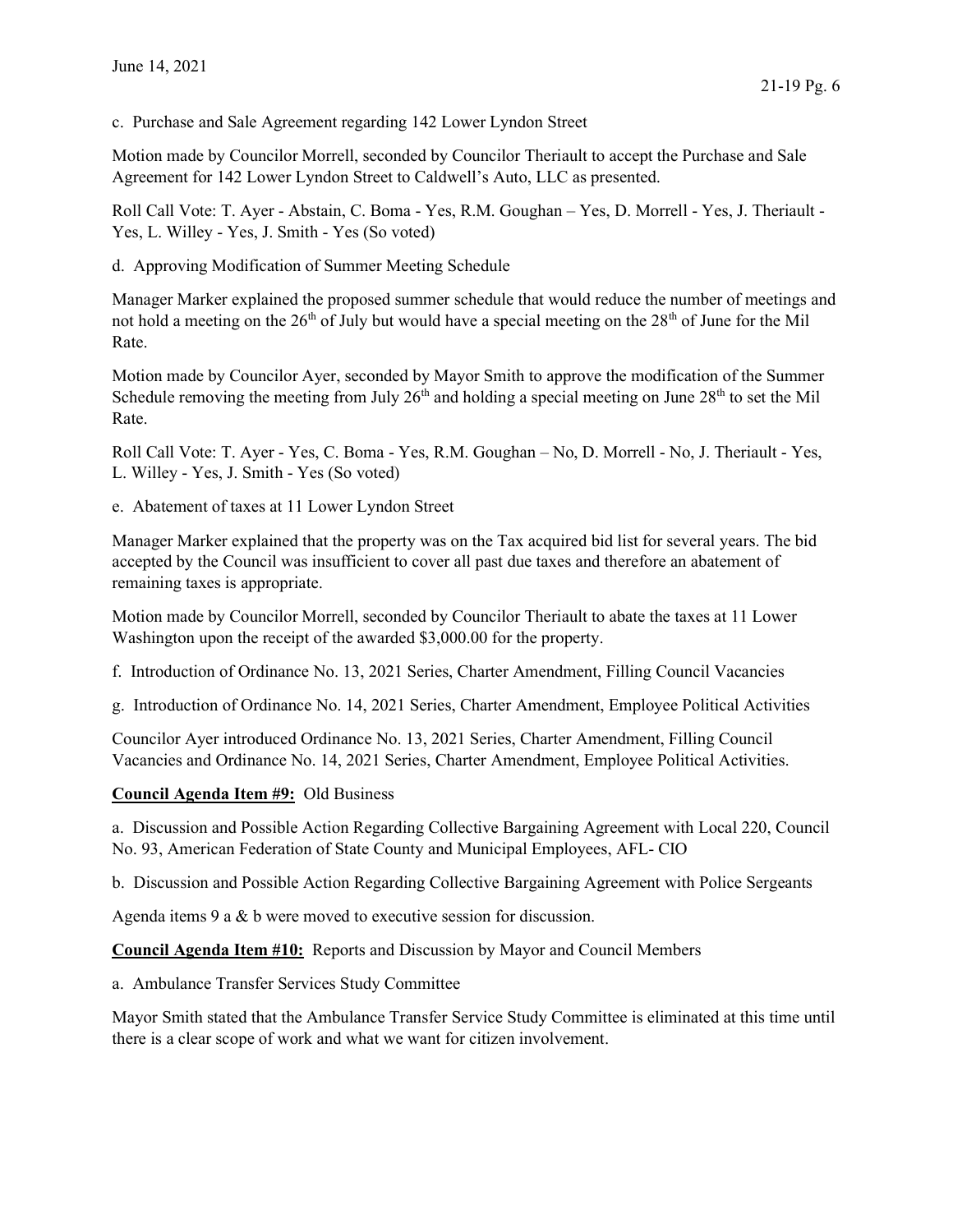c. Purchase and Sale Agreement regarding 142 Lower Lyndon Street

Motion made by Councilor Morrell, seconded by Councilor Theriault to accept the Purchase and Sale Agreement for 142 Lower Lyndon Street to Caldwell's Auto, LLC as presented.

Roll Call Vote: T. Ayer - Abstain, C. Boma - Yes, R.M. Goughan – Yes, D. Morrell - Yes, J. Theriault - Yes, L. Willey - Yes, J. Smith - Yes (So voted)

d. Approving Modification of Summer Meeting Schedule

Manager Marker explained the proposed summer schedule that would reduce the number of meetings and not hold a meeting on the  $26<sup>th</sup>$  of July but would have a special meeting on the  $28<sup>th</sup>$  of June for the Mil Rate.

Motion made by Councilor Ayer, seconded by Mayor Smith to approve the modification of the Summer Schedule removing the meeting from July  $26<sup>th</sup>$  and holding a special meeting on June  $28<sup>th</sup>$  to set the Mil Rate.

Roll Call Vote: T. Ayer - Yes, C. Boma - Yes, R.M. Goughan – No, D. Morrell - No, J. Theriault - Yes, L. Willey - Yes, J. Smith - Yes (So voted)

e. Abatement of taxes at 11 Lower Lyndon Street

Manager Marker explained that the property was on the Tax acquired bid list for several years. The bid accepted by the Council was insufficient to cover all past due taxes and therefore an abatement of remaining taxes is appropriate.

Motion made by Councilor Morrell, seconded by Councilor Theriault to abate the taxes at 11 Lower Washington upon the receipt of the awarded \$3,000.00 for the property.

f. Introduction of Ordinance No. 13, 2021 Series, Charter Amendment, Filling Council Vacancies

g. Introduction of Ordinance No. 14, 2021 Series, Charter Amendment, Employee Political Activities

Councilor Ayer introduced Ordinance No. 13, 2021 Series, Charter Amendment, Filling Council Vacancies and Ordinance No. 14, 2021 Series, Charter Amendment, Employee Political Activities.

## Council Agenda Item #9: Old Business

a. Discussion and Possible Action Regarding Collective Bargaining Agreement with Local 220, Council No. 93, American Federation of State County and Municipal Employees, AFL- CIO

b. Discussion and Possible Action Regarding Collective Bargaining Agreement with Police Sergeants

Agenda items 9 a & b were moved to executive session for discussion.

Council Agenda Item #10: Reports and Discussion by Mayor and Council Members

a. Ambulance Transfer Services Study Committee

Mayor Smith stated that the Ambulance Transfer Service Study Committee is eliminated at this time until there is a clear scope of work and what we want for citizen involvement.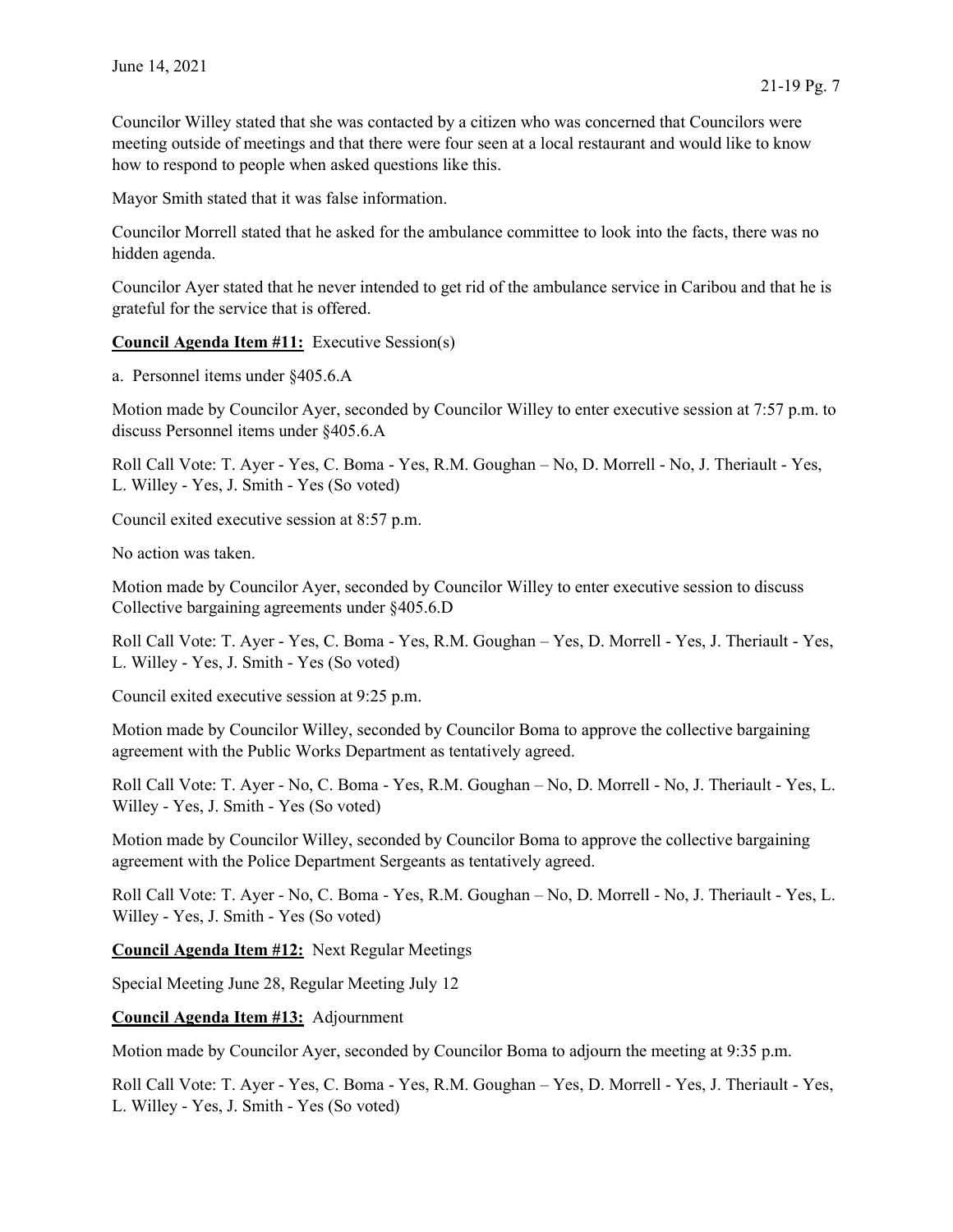Councilor Willey stated that she was contacted by a citizen who was concerned that Councilors were meeting outside of meetings and that there were four seen at a local restaurant and would like to know how to respond to people when asked questions like this.

Mayor Smith stated that it was false information.

Councilor Morrell stated that he asked for the ambulance committee to look into the facts, there was no hidden agenda.

Councilor Ayer stated that he never intended to get rid of the ambulance service in Caribou and that he is grateful for the service that is offered.

Council Agenda Item #11: Executive Session(s)

a. Personnel items under §405.6.A

Motion made by Councilor Ayer, seconded by Councilor Willey to enter executive session at 7:57 p.m. to discuss Personnel items under §405.6.A

Roll Call Vote: T. Ayer - Yes, C. Boma - Yes, R.M. Goughan – No, D. Morrell - No, J. Theriault - Yes, L. Willey - Yes, J. Smith - Yes (So voted)

Council exited executive session at 8:57 p.m.

No action was taken.

Motion made by Councilor Ayer, seconded by Councilor Willey to enter executive session to discuss Collective bargaining agreements under §405.6.D

Roll Call Vote: T. Ayer - Yes, C. Boma - Yes, R.M. Goughan – Yes, D. Morrell - Yes, J. Theriault - Yes, L. Willey - Yes, J. Smith - Yes (So voted)

Council exited executive session at 9:25 p.m.

Motion made by Councilor Willey, seconded by Councilor Boma to approve the collective bargaining agreement with the Public Works Department as tentatively agreed.

Roll Call Vote: T. Ayer - No, C. Boma - Yes, R.M. Goughan – No, D. Morrell - No, J. Theriault - Yes, L. Willey - Yes, J. Smith - Yes (So voted)

Motion made by Councilor Willey, seconded by Councilor Boma to approve the collective bargaining agreement with the Police Department Sergeants as tentatively agreed.

Roll Call Vote: T. Ayer - No, C. Boma - Yes, R.M. Goughan – No, D. Morrell - No, J. Theriault - Yes, L. Willey - Yes, J. Smith - Yes (So voted)

Council Agenda Item #12: Next Regular Meetings

Special Meeting June 28, Regular Meeting July 12

Council Agenda Item #13: Adjournment

Motion made by Councilor Ayer, seconded by Councilor Boma to adjourn the meeting at 9:35 p.m.

Roll Call Vote: T. Ayer - Yes, C. Boma - Yes, R.M. Goughan – Yes, D. Morrell - Yes, J. Theriault - Yes, L. Willey - Yes, J. Smith - Yes (So voted)